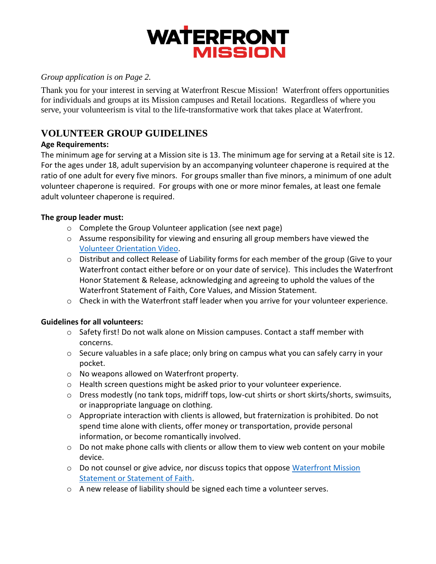

#### *Group application is on Page 2.*

Thank you for your interest in serving at Waterfront Rescue Mission! Waterfront offers opportunities for individuals and groups at its Mission campuses and Retail locations. Regardless of where you serve, your volunteerism is vital to the life-transformative work that takes place at Waterfront.

### **VOLUNTEER GROUP GUIDELINES**

#### **Age Requirements:**

The minimum age for serving at a Mission site is 13. The minimum age for serving at a Retail site is 12. For the ages under 18, adult supervision by an accompanying volunteer chaperone is required at the ratio of one adult for every five minors. For groups smaller than five minors, a minimum of one adult volunteer chaperone is required. For groups with one or more minor females, at least one female adult volunteer chaperone is required.

#### **The group leader must:**

- o Complete the Group Volunteer application (see next page)
- $\circ$  Assume responsibility for viewing and ensuring all group members have viewed the [Volunteer Orientation Video.](https://www.youtube.com/watch?v=6l3EEQY0ESE)
- o Distribut and collect Release of Liability forms for each member of the group (Give to your Waterfront contact either before or on your date of service). This includes the Waterfront Honor Statement & Release, acknowledging and agreeing to uphold the values of the Waterfront Statement of Faith, Core Values, and Mission Statement.
- o Check in with the Waterfront staff leader when you arrive for your volunteer experience.

#### **Guidelines for all volunteers:**

- $\circ$  Safety first! Do not walk alone on Mission campuses. Contact a staff member with concerns.
- $\circ$  Secure valuables in a safe place; only bring on campus what you can safely carry in your pocket.
- o No weapons allowed on Waterfront property.
- o Health screen questions might be asked prior to your volunteer experience.
- o Dress modestly (no tank tops, midriff tops, low-cut shirts or short skirts/shorts, swimsuits, or inappropriate language on clothing.
- $\circ$  Appropriate interaction with clients is allowed, but fraternization is prohibited. Do not spend time alone with clients, offer money or transportation, provide personal information, or become romantically involved.
- $\circ$  Do not make phone calls with clients or allow them to view web content on your mobile device.
- $\circ$  Do not counsel or give advice, nor discuss topics that oppose [Waterfront Mission](https://waterfrontmission.org/who-we-are/mission-statement/) [Statement or Statement of Faith.](https://waterfrontmission.org/who-we-are/mission-statement/)
- o A new release of liability should be signed each time a volunteer serves.